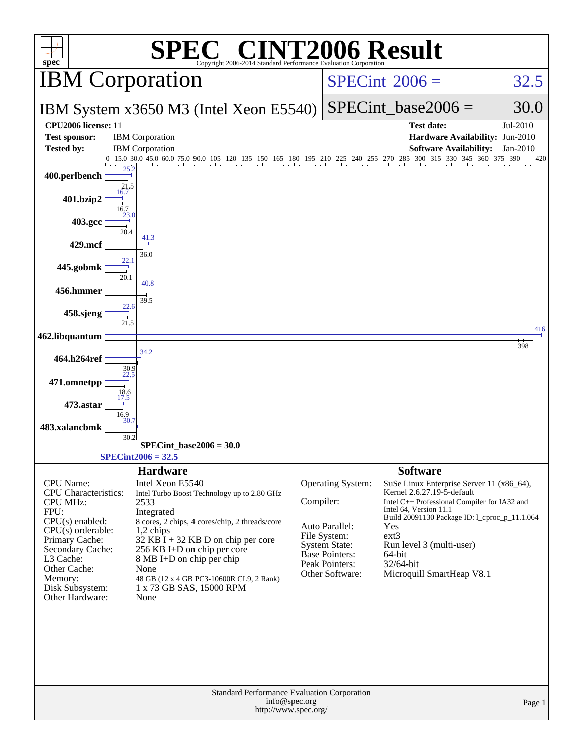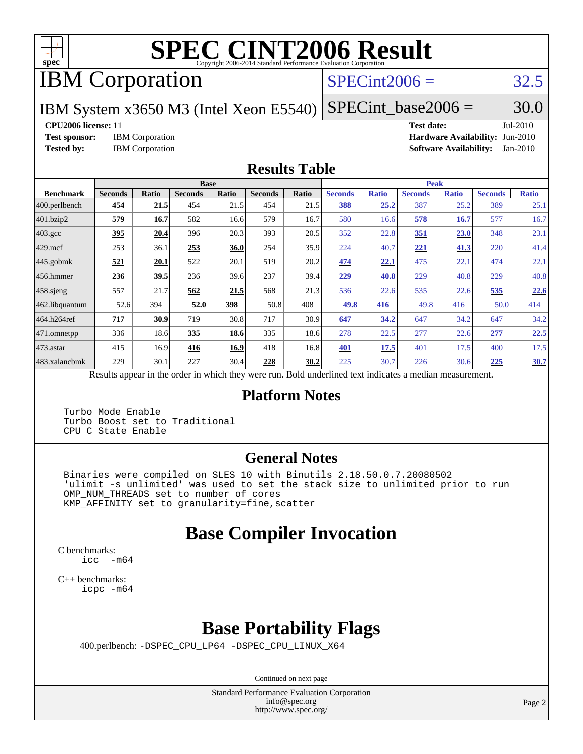

# **[SPEC CINT2006 Result](http://www.spec.org/auto/cpu2006/Docs/result-fields.html#SPECCINT2006Result)**

# IBM Corporation

### $SPECint2006 = 32.5$  $SPECint2006 = 32.5$

IBM System x3650 M3 (Intel Xeon E5540)

 $SPECTnt\_base2006 = 30.0$ 

### **[CPU2006 license:](http://www.spec.org/auto/cpu2006/Docs/result-fields.html#CPU2006license)** 11 **[Test date:](http://www.spec.org/auto/cpu2006/Docs/result-fields.html#Testdate)** Jul-2010

**[Test sponsor:](http://www.spec.org/auto/cpu2006/Docs/result-fields.html#Testsponsor)** IBM Corporation **[Hardware Availability:](http://www.spec.org/auto/cpu2006/Docs/result-fields.html#HardwareAvailability)** Jun-2010 **[Tested by:](http://www.spec.org/auto/cpu2006/Docs/result-fields.html#Testedby)** IBM Corporation **[Software Availability:](http://www.spec.org/auto/cpu2006/Docs/result-fields.html#SoftwareAvailability)** Jan-2010

### **[Results Table](http://www.spec.org/auto/cpu2006/Docs/result-fields.html#ResultsTable)**

|                                                                                                          |                |             | <b>Base</b>    |       |                |       |                |              | <b>Peak</b>    |              |                |              |
|----------------------------------------------------------------------------------------------------------|----------------|-------------|----------------|-------|----------------|-------|----------------|--------------|----------------|--------------|----------------|--------------|
| <b>Benchmark</b>                                                                                         | <b>Seconds</b> | Ratio       | <b>Seconds</b> | Ratio | <b>Seconds</b> | Ratio | <b>Seconds</b> | <b>Ratio</b> | <b>Seconds</b> | <b>Ratio</b> | <b>Seconds</b> | <b>Ratio</b> |
| 400.perlbench                                                                                            | 454            | 21.5        | 454            | 21.5  | 454            | 21.5  | 388            | 25.2         | 387            | 25.2         | 389            | 25.1         |
| 401.bzip2                                                                                                | 579            | 16.7        | 582            | 16.6  | 579            | 16.7  | 580            | 16.6         | 578            | <b>16.7</b>  | 577            | 16.7         |
| $403.\mathrm{gcc}$                                                                                       | 395            | 20.4        | 396            | 20.3  | 393            | 20.5  | 352            | 22.8         | 351            | 23.0         | 348            | 23.1         |
| $429$ mcf                                                                                                | 253            | 36.1        | 253            | 36.0  | 254            | 35.9  | 224            | 40.7         | 221            | 41.3         | 220            | 41.4         |
| $445$ .gobmk                                                                                             | 521            | 20.1        | 522            | 20.1  | 519            | 20.2  | 474            | 22.1         | 475            | 22.1         | 474            | 22.1         |
| $456.$ hmmer                                                                                             | 236            | <u>39.5</u> | 236            | 39.6  | 237            | 39.4  | 229            | 40.8         | 229            | 40.8         | 229            | 40.8         |
| $458$ .sjeng                                                                                             | 557            | 21.7        | 562            | 21.5  | 568            | 21.3  | 536            | 22.6         | 535            | 22.6         | 535            | 22.6         |
| 462.libquantum                                                                                           | 52.6           | 394         | 52.0           | 398   | 50.8           | 408   | 49.8           | 416          | 49.8           | 416          | 50.0           | 414          |
| 464.h264ref                                                                                              | 717            | 30.9        | 719            | 30.8  | 717            | 30.9  | 647            | 34.2         | 647            | 34.2         | 647            | 34.2         |
| 471.omnetpp                                                                                              | 336            | 18.6        | 335            | 18.6  | 335            | 18.6  | 278            | 22.5         | 277            | 22.6         | 277            | 22.5         |
| $473$ . astar                                                                                            | 415            | 16.9        | 416            | 16.9  | 418            | 16.8  | 401            | 17.5         | 401            | 17.5         | 400            | 17.5         |
| 483.xalancbmk                                                                                            | 229            | 30.1        | 227            | 30.4  | 228            | 30.2  | 225            | 30.7         | 226            | 30.6         | 225            | 30.7         |
| Results appear in the order in which they were run. Bold underlined text indicates a median measurement. |                |             |                |       |                |       |                |              |                |              |                |              |

### **[Platform Notes](http://www.spec.org/auto/cpu2006/Docs/result-fields.html#PlatformNotes)**

 Turbo Mode Enable Turbo Boost set to Traditional CPU C State Enable

### **[General Notes](http://www.spec.org/auto/cpu2006/Docs/result-fields.html#GeneralNotes)**

 Binaries were compiled on SLES 10 with Binutils 2.18.50.0.7.20080502 'ulimit -s unlimited' was used to set the stack size to unlimited prior to run OMP\_NUM\_THREADS set to number of cores KMP\_AFFINITY set to granularity=fine,scatter

### **[Base Compiler Invocation](http://www.spec.org/auto/cpu2006/Docs/result-fields.html#BaseCompilerInvocation)**

[C benchmarks](http://www.spec.org/auto/cpu2006/Docs/result-fields.html#Cbenchmarks): [icc -m64](http://www.spec.org/cpu2006/results/res2010q3/cpu2006-20100802-12754.flags.html#user_CCbase_intel_icc_64bit_f346026e86af2a669e726fe758c88044)

[C++ benchmarks:](http://www.spec.org/auto/cpu2006/Docs/result-fields.html#CXXbenchmarks) [icpc -m64](http://www.spec.org/cpu2006/results/res2010q3/cpu2006-20100802-12754.flags.html#user_CXXbase_intel_icpc_64bit_fc66a5337ce925472a5c54ad6a0de310)

### **[Base Portability Flags](http://www.spec.org/auto/cpu2006/Docs/result-fields.html#BasePortabilityFlags)**

400.perlbench: [-DSPEC\\_CPU\\_LP64](http://www.spec.org/cpu2006/results/res2010q3/cpu2006-20100802-12754.flags.html#b400.perlbench_basePORTABILITY_DSPEC_CPU_LP64) [-DSPEC\\_CPU\\_LINUX\\_X64](http://www.spec.org/cpu2006/results/res2010q3/cpu2006-20100802-12754.flags.html#b400.perlbench_baseCPORTABILITY_DSPEC_CPU_LINUX_X64)

Continued on next page

Standard Performance Evaluation Corporation [info@spec.org](mailto:info@spec.org) <http://www.spec.org/>

Page 2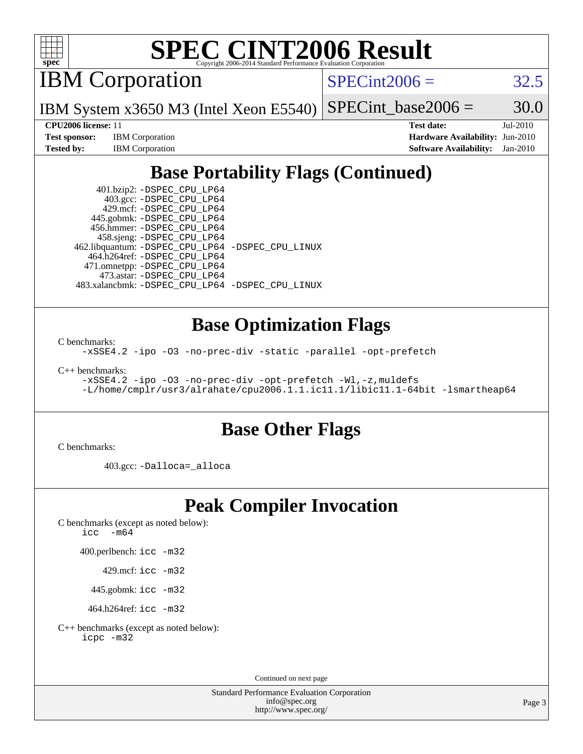

# **[SPEC CINT2006 Result](http://www.spec.org/auto/cpu2006/Docs/result-fields.html#SPECCINT2006Result)**

IBM Corporation

 $SPECint2006 = 32.5$  $SPECint2006 = 32.5$ 

IBM System x3650 M3 (Intel Xeon E5540)  $SPECTnt\_base2006 = 30.0$ 

**[CPU2006 license:](http://www.spec.org/auto/cpu2006/Docs/result-fields.html#CPU2006license)** 11 **[Test date:](http://www.spec.org/auto/cpu2006/Docs/result-fields.html#Testdate)** Jul-2010 **[Test sponsor:](http://www.spec.org/auto/cpu2006/Docs/result-fields.html#Testsponsor)** IBM Corporation **[Hardware Availability:](http://www.spec.org/auto/cpu2006/Docs/result-fields.html#HardwareAvailability)** Jun-2010 **[Tested by:](http://www.spec.org/auto/cpu2006/Docs/result-fields.html#Testedby)** IBM Corporation **[Software Availability:](http://www.spec.org/auto/cpu2006/Docs/result-fields.html#SoftwareAvailability)** Jan-2010

## **[Base Portability Flags \(Continued\)](http://www.spec.org/auto/cpu2006/Docs/result-fields.html#BasePortabilityFlags)**

 401.bzip2: [-DSPEC\\_CPU\\_LP64](http://www.spec.org/cpu2006/results/res2010q3/cpu2006-20100802-12754.flags.html#suite_basePORTABILITY401_bzip2_DSPEC_CPU_LP64) 403.gcc: [-DSPEC\\_CPU\\_LP64](http://www.spec.org/cpu2006/results/res2010q3/cpu2006-20100802-12754.flags.html#suite_basePORTABILITY403_gcc_DSPEC_CPU_LP64) 429.mcf: [-DSPEC\\_CPU\\_LP64](http://www.spec.org/cpu2006/results/res2010q3/cpu2006-20100802-12754.flags.html#suite_basePORTABILITY429_mcf_DSPEC_CPU_LP64) 445.gobmk: [-DSPEC\\_CPU\\_LP64](http://www.spec.org/cpu2006/results/res2010q3/cpu2006-20100802-12754.flags.html#suite_basePORTABILITY445_gobmk_DSPEC_CPU_LP64) 456.hmmer: [-DSPEC\\_CPU\\_LP64](http://www.spec.org/cpu2006/results/res2010q3/cpu2006-20100802-12754.flags.html#suite_basePORTABILITY456_hmmer_DSPEC_CPU_LP64) 458.sjeng: [-DSPEC\\_CPU\\_LP64](http://www.spec.org/cpu2006/results/res2010q3/cpu2006-20100802-12754.flags.html#suite_basePORTABILITY458_sjeng_DSPEC_CPU_LP64) 462.libquantum: [-DSPEC\\_CPU\\_LP64](http://www.spec.org/cpu2006/results/res2010q3/cpu2006-20100802-12754.flags.html#suite_basePORTABILITY462_libquantum_DSPEC_CPU_LP64) [-DSPEC\\_CPU\\_LINUX](http://www.spec.org/cpu2006/results/res2010q3/cpu2006-20100802-12754.flags.html#b462.libquantum_baseCPORTABILITY_DSPEC_CPU_LINUX) 464.h264ref: [-DSPEC\\_CPU\\_LP64](http://www.spec.org/cpu2006/results/res2010q3/cpu2006-20100802-12754.flags.html#suite_basePORTABILITY464_h264ref_DSPEC_CPU_LP64) 471.omnetpp: [-DSPEC\\_CPU\\_LP64](http://www.spec.org/cpu2006/results/res2010q3/cpu2006-20100802-12754.flags.html#suite_basePORTABILITY471_omnetpp_DSPEC_CPU_LP64) 473.astar: [-DSPEC\\_CPU\\_LP64](http://www.spec.org/cpu2006/results/res2010q3/cpu2006-20100802-12754.flags.html#suite_basePORTABILITY473_astar_DSPEC_CPU_LP64) 483.xalancbmk: [-DSPEC\\_CPU\\_LP64](http://www.spec.org/cpu2006/results/res2010q3/cpu2006-20100802-12754.flags.html#suite_basePORTABILITY483_xalancbmk_DSPEC_CPU_LP64) [-DSPEC\\_CPU\\_LINUX](http://www.spec.org/cpu2006/results/res2010q3/cpu2006-20100802-12754.flags.html#b483.xalancbmk_baseCXXPORTABILITY_DSPEC_CPU_LINUX)

### **[Base Optimization Flags](http://www.spec.org/auto/cpu2006/Docs/result-fields.html#BaseOptimizationFlags)**

[C benchmarks](http://www.spec.org/auto/cpu2006/Docs/result-fields.html#Cbenchmarks):

[-xSSE4.2](http://www.spec.org/cpu2006/results/res2010q3/cpu2006-20100802-12754.flags.html#user_CCbase_f-xSSE42_f91528193cf0b216347adb8b939d4107) [-ipo](http://www.spec.org/cpu2006/results/res2010q3/cpu2006-20100802-12754.flags.html#user_CCbase_f-ipo) [-O3](http://www.spec.org/cpu2006/results/res2010q3/cpu2006-20100802-12754.flags.html#user_CCbase_f-O3) [-no-prec-div](http://www.spec.org/cpu2006/results/res2010q3/cpu2006-20100802-12754.flags.html#user_CCbase_f-no-prec-div) [-static](http://www.spec.org/cpu2006/results/res2010q3/cpu2006-20100802-12754.flags.html#user_CCbase_f-static) [-parallel](http://www.spec.org/cpu2006/results/res2010q3/cpu2006-20100802-12754.flags.html#user_CCbase_f-parallel) [-opt-prefetch](http://www.spec.org/cpu2006/results/res2010q3/cpu2006-20100802-12754.flags.html#user_CCbase_f-opt-prefetch)

[C++ benchmarks:](http://www.spec.org/auto/cpu2006/Docs/result-fields.html#CXXbenchmarks)

[-xSSE4.2](http://www.spec.org/cpu2006/results/res2010q3/cpu2006-20100802-12754.flags.html#user_CXXbase_f-xSSE42_f91528193cf0b216347adb8b939d4107) [-ipo](http://www.spec.org/cpu2006/results/res2010q3/cpu2006-20100802-12754.flags.html#user_CXXbase_f-ipo) [-O3](http://www.spec.org/cpu2006/results/res2010q3/cpu2006-20100802-12754.flags.html#user_CXXbase_f-O3) [-no-prec-div](http://www.spec.org/cpu2006/results/res2010q3/cpu2006-20100802-12754.flags.html#user_CXXbase_f-no-prec-div) [-opt-prefetch](http://www.spec.org/cpu2006/results/res2010q3/cpu2006-20100802-12754.flags.html#user_CXXbase_f-opt-prefetch) [-Wl,-z,muldefs](http://www.spec.org/cpu2006/results/res2010q3/cpu2006-20100802-12754.flags.html#user_CXXbase_link_force_multiple1_74079c344b956b9658436fd1b6dd3a8a) [-L/home/cmplr/usr3/alrahate/cpu2006.1.1.ic11.1/libic11.1-64bit -lsmartheap64](http://www.spec.org/cpu2006/results/res2010q3/cpu2006-20100802-12754.flags.html#user_CXXbase_SmartHeap64_e2306cda84805d1ab360117a79ff779c)

### **[Base Other Flags](http://www.spec.org/auto/cpu2006/Docs/result-fields.html#BaseOtherFlags)**

[C benchmarks](http://www.spec.org/auto/cpu2006/Docs/result-fields.html#Cbenchmarks):

403.gcc: [-Dalloca=\\_alloca](http://www.spec.org/cpu2006/results/res2010q3/cpu2006-20100802-12754.flags.html#b403.gcc_baseEXTRA_CFLAGS_Dalloca_be3056838c12de2578596ca5467af7f3)

### **[Peak Compiler Invocation](http://www.spec.org/auto/cpu2006/Docs/result-fields.html#PeakCompilerInvocation)**

[C benchmarks \(except as noted below\)](http://www.spec.org/auto/cpu2006/Docs/result-fields.html#Cbenchmarksexceptasnotedbelow): [icc -m64](http://www.spec.org/cpu2006/results/res2010q3/cpu2006-20100802-12754.flags.html#user_CCpeak_intel_icc_64bit_f346026e86af2a669e726fe758c88044)

400.perlbench: [icc -m32](http://www.spec.org/cpu2006/results/res2010q3/cpu2006-20100802-12754.flags.html#user_peakCCLD400_perlbench_intel_icc_32bit_a6a621f8d50482236b970c6ac5f55f93)

429.mcf: [icc -m32](http://www.spec.org/cpu2006/results/res2010q3/cpu2006-20100802-12754.flags.html#user_peakCCLD429_mcf_intel_icc_32bit_a6a621f8d50482236b970c6ac5f55f93)

445.gobmk: [icc -m32](http://www.spec.org/cpu2006/results/res2010q3/cpu2006-20100802-12754.flags.html#user_peakCCLD445_gobmk_intel_icc_32bit_a6a621f8d50482236b970c6ac5f55f93)

464.h264ref: [icc -m32](http://www.spec.org/cpu2006/results/res2010q3/cpu2006-20100802-12754.flags.html#user_peakCCLD464_h264ref_intel_icc_32bit_a6a621f8d50482236b970c6ac5f55f93)

[C++ benchmarks \(except as noted below\):](http://www.spec.org/auto/cpu2006/Docs/result-fields.html#CXXbenchmarksexceptasnotedbelow) [icpc -m32](http://www.spec.org/cpu2006/results/res2010q3/cpu2006-20100802-12754.flags.html#user_CXXpeak_intel_icpc_32bit_4e5a5ef1a53fd332b3c49e69c3330699)

Continued on next page

Standard Performance Evaluation Corporation [info@spec.org](mailto:info@spec.org) <http://www.spec.org/>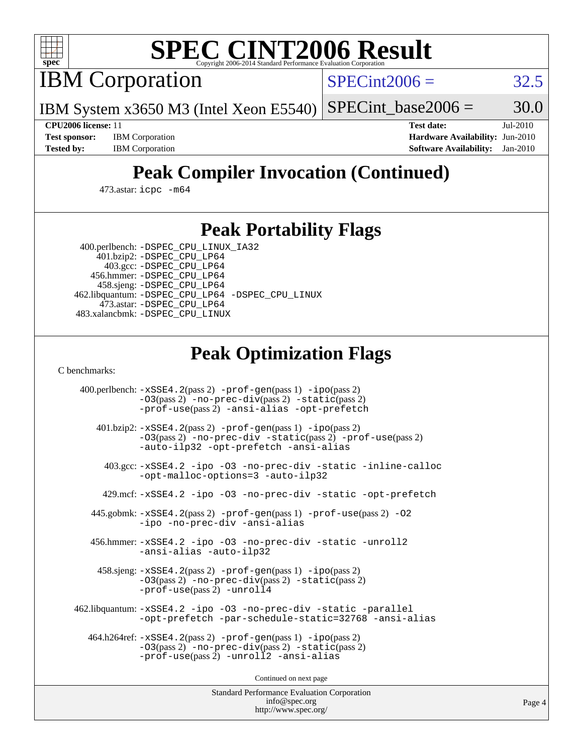

# **[SPEC CINT2006 Result](http://www.spec.org/auto/cpu2006/Docs/result-fields.html#SPECCINT2006Result)**

IBM Corporation

 $SPECint2006 = 32.5$  $SPECint2006 = 32.5$ 

IBM System x3650 M3 (Intel Xeon E5540)  $SPECTnt\_base2006 = 30.0$ 

**[CPU2006 license:](http://www.spec.org/auto/cpu2006/Docs/result-fields.html#CPU2006license)** 11 **[Test date:](http://www.spec.org/auto/cpu2006/Docs/result-fields.html#Testdate)** Jul-2010 **[Test sponsor:](http://www.spec.org/auto/cpu2006/Docs/result-fields.html#Testsponsor)** IBM Corporation **[Hardware Availability:](http://www.spec.org/auto/cpu2006/Docs/result-fields.html#HardwareAvailability)** Jun-2010 **[Tested by:](http://www.spec.org/auto/cpu2006/Docs/result-fields.html#Testedby)** IBM Corporation **[Software Availability:](http://www.spec.org/auto/cpu2006/Docs/result-fields.html#SoftwareAvailability)** Jan-2010

## **[Peak Compiler Invocation \(Continued\)](http://www.spec.org/auto/cpu2006/Docs/result-fields.html#PeakCompilerInvocation)**

473.astar: [icpc -m64](http://www.spec.org/cpu2006/results/res2010q3/cpu2006-20100802-12754.flags.html#user_peakCXXLD473_astar_intel_icpc_64bit_fc66a5337ce925472a5c54ad6a0de310)

### **[Peak Portability Flags](http://www.spec.org/auto/cpu2006/Docs/result-fields.html#PeakPortabilityFlags)**

 400.perlbench: [-DSPEC\\_CPU\\_LINUX\\_IA32](http://www.spec.org/cpu2006/results/res2010q3/cpu2006-20100802-12754.flags.html#b400.perlbench_peakCPORTABILITY_DSPEC_CPU_LINUX_IA32) 401.bzip2: [-DSPEC\\_CPU\\_LP64](http://www.spec.org/cpu2006/results/res2010q3/cpu2006-20100802-12754.flags.html#suite_peakPORTABILITY401_bzip2_DSPEC_CPU_LP64)

 403.gcc: [-DSPEC\\_CPU\\_LP64](http://www.spec.org/cpu2006/results/res2010q3/cpu2006-20100802-12754.flags.html#suite_peakPORTABILITY403_gcc_DSPEC_CPU_LP64) 456.hmmer: [-DSPEC\\_CPU\\_LP64](http://www.spec.org/cpu2006/results/res2010q3/cpu2006-20100802-12754.flags.html#suite_peakPORTABILITY456_hmmer_DSPEC_CPU_LP64) 458.sjeng: [-DSPEC\\_CPU\\_LP64](http://www.spec.org/cpu2006/results/res2010q3/cpu2006-20100802-12754.flags.html#suite_peakPORTABILITY458_sjeng_DSPEC_CPU_LP64) 462.libquantum: [-DSPEC\\_CPU\\_LP64](http://www.spec.org/cpu2006/results/res2010q3/cpu2006-20100802-12754.flags.html#suite_peakPORTABILITY462_libquantum_DSPEC_CPU_LP64) [-DSPEC\\_CPU\\_LINUX](http://www.spec.org/cpu2006/results/res2010q3/cpu2006-20100802-12754.flags.html#b462.libquantum_peakCPORTABILITY_DSPEC_CPU_LINUX) 473.astar: [-DSPEC\\_CPU\\_LP64](http://www.spec.org/cpu2006/results/res2010q3/cpu2006-20100802-12754.flags.html#suite_peakPORTABILITY473_astar_DSPEC_CPU_LP64) 483.xalancbmk: [-DSPEC\\_CPU\\_LINUX](http://www.spec.org/cpu2006/results/res2010q3/cpu2006-20100802-12754.flags.html#b483.xalancbmk_peakCXXPORTABILITY_DSPEC_CPU_LINUX)

## **[Peak Optimization Flags](http://www.spec.org/auto/cpu2006/Docs/result-fields.html#PeakOptimizationFlags)**

[C benchmarks](http://www.spec.org/auto/cpu2006/Docs/result-fields.html#Cbenchmarks):

 400.perlbench: [-xSSE4.2](http://www.spec.org/cpu2006/results/res2010q3/cpu2006-20100802-12754.flags.html#user_peakPASS2_CFLAGSPASS2_LDCFLAGS400_perlbench_f-xSSE42_f91528193cf0b216347adb8b939d4107)(pass 2) [-prof-gen](http://www.spec.org/cpu2006/results/res2010q3/cpu2006-20100802-12754.flags.html#user_peakPASS1_CFLAGSPASS1_LDCFLAGS400_perlbench_prof_gen_e43856698f6ca7b7e442dfd80e94a8fc)(pass 1) [-ipo](http://www.spec.org/cpu2006/results/res2010q3/cpu2006-20100802-12754.flags.html#user_peakPASS2_CFLAGSPASS2_LDCFLAGS400_perlbench_f-ipo)(pass 2) [-O3](http://www.spec.org/cpu2006/results/res2010q3/cpu2006-20100802-12754.flags.html#user_peakPASS2_CFLAGSPASS2_LDCFLAGS400_perlbench_f-O3)(pass 2) [-no-prec-div](http://www.spec.org/cpu2006/results/res2010q3/cpu2006-20100802-12754.flags.html#user_peakPASS2_CFLAGSPASS2_LDCFLAGS400_perlbench_f-no-prec-div)(pass 2) [-static](http://www.spec.org/cpu2006/results/res2010q3/cpu2006-20100802-12754.flags.html#user_peakPASS2_CFLAGSPASS2_LDCFLAGS400_perlbench_f-static)(pass 2) [-prof-use](http://www.spec.org/cpu2006/results/res2010q3/cpu2006-20100802-12754.flags.html#user_peakPASS2_CFLAGSPASS2_LDCFLAGS400_perlbench_prof_use_bccf7792157ff70d64e32fe3e1250b55)(pass 2) [-ansi-alias](http://www.spec.org/cpu2006/results/res2010q3/cpu2006-20100802-12754.flags.html#user_peakCOPTIMIZE400_perlbench_f-ansi-alias) [-opt-prefetch](http://www.spec.org/cpu2006/results/res2010q3/cpu2006-20100802-12754.flags.html#user_peakCOPTIMIZE400_perlbench_f-opt-prefetch) 401.bzip2: [-xSSE4.2](http://www.spec.org/cpu2006/results/res2010q3/cpu2006-20100802-12754.flags.html#user_peakPASS2_CFLAGSPASS2_LDCFLAGS401_bzip2_f-xSSE42_f91528193cf0b216347adb8b939d4107)(pass 2) [-prof-gen](http://www.spec.org/cpu2006/results/res2010q3/cpu2006-20100802-12754.flags.html#user_peakPASS1_CFLAGSPASS1_LDCFLAGS401_bzip2_prof_gen_e43856698f6ca7b7e442dfd80e94a8fc)(pass 1) [-ipo](http://www.spec.org/cpu2006/results/res2010q3/cpu2006-20100802-12754.flags.html#user_peakPASS2_CFLAGSPASS2_LDCFLAGS401_bzip2_f-ipo)(pass 2) [-O3](http://www.spec.org/cpu2006/results/res2010q3/cpu2006-20100802-12754.flags.html#user_peakPASS2_CFLAGSPASS2_LDCFLAGS401_bzip2_f-O3)(pass 2) [-no-prec-div](http://www.spec.org/cpu2006/results/res2010q3/cpu2006-20100802-12754.flags.html#user_peakCOPTIMIZEPASS2_CFLAGSPASS2_LDCFLAGS401_bzip2_f-no-prec-div) [-static](http://www.spec.org/cpu2006/results/res2010q3/cpu2006-20100802-12754.flags.html#user_peakPASS2_CFLAGSPASS2_LDCFLAGS401_bzip2_f-static)(pass 2) [-prof-use](http://www.spec.org/cpu2006/results/res2010q3/cpu2006-20100802-12754.flags.html#user_peakPASS2_CFLAGSPASS2_LDCFLAGS401_bzip2_prof_use_bccf7792157ff70d64e32fe3e1250b55)(pass 2) [-auto-ilp32](http://www.spec.org/cpu2006/results/res2010q3/cpu2006-20100802-12754.flags.html#user_peakCOPTIMIZE401_bzip2_f-auto-ilp32) [-opt-prefetch](http://www.spec.org/cpu2006/results/res2010q3/cpu2006-20100802-12754.flags.html#user_peakCOPTIMIZE401_bzip2_f-opt-prefetch) [-ansi-alias](http://www.spec.org/cpu2006/results/res2010q3/cpu2006-20100802-12754.flags.html#user_peakCOPTIMIZE401_bzip2_f-ansi-alias) 403.gcc: [-xSSE4.2](http://www.spec.org/cpu2006/results/res2010q3/cpu2006-20100802-12754.flags.html#user_peakCOPTIMIZE403_gcc_f-xSSE42_f91528193cf0b216347adb8b939d4107) [-ipo](http://www.spec.org/cpu2006/results/res2010q3/cpu2006-20100802-12754.flags.html#user_peakCOPTIMIZE403_gcc_f-ipo) [-O3](http://www.spec.org/cpu2006/results/res2010q3/cpu2006-20100802-12754.flags.html#user_peakCOPTIMIZE403_gcc_f-O3) [-no-prec-div](http://www.spec.org/cpu2006/results/res2010q3/cpu2006-20100802-12754.flags.html#user_peakCOPTIMIZE403_gcc_f-no-prec-div) [-static](http://www.spec.org/cpu2006/results/res2010q3/cpu2006-20100802-12754.flags.html#user_peakCOPTIMIZE403_gcc_f-static) [-inline-calloc](http://www.spec.org/cpu2006/results/res2010q3/cpu2006-20100802-12754.flags.html#user_peakCOPTIMIZE403_gcc_f-inline-calloc) [-opt-malloc-options=3](http://www.spec.org/cpu2006/results/res2010q3/cpu2006-20100802-12754.flags.html#user_peakCOPTIMIZE403_gcc_f-opt-malloc-options_13ab9b803cf986b4ee62f0a5998c2238) [-auto-ilp32](http://www.spec.org/cpu2006/results/res2010q3/cpu2006-20100802-12754.flags.html#user_peakCOPTIMIZE403_gcc_f-auto-ilp32) 429.mcf: [-xSSE4.2](http://www.spec.org/cpu2006/results/res2010q3/cpu2006-20100802-12754.flags.html#user_peakCOPTIMIZE429_mcf_f-xSSE42_f91528193cf0b216347adb8b939d4107) [-ipo](http://www.spec.org/cpu2006/results/res2010q3/cpu2006-20100802-12754.flags.html#user_peakCOPTIMIZE429_mcf_f-ipo) [-O3](http://www.spec.org/cpu2006/results/res2010q3/cpu2006-20100802-12754.flags.html#user_peakCOPTIMIZE429_mcf_f-O3) [-no-prec-div](http://www.spec.org/cpu2006/results/res2010q3/cpu2006-20100802-12754.flags.html#user_peakCOPTIMIZE429_mcf_f-no-prec-div) [-static](http://www.spec.org/cpu2006/results/res2010q3/cpu2006-20100802-12754.flags.html#user_peakCOPTIMIZE429_mcf_f-static) [-opt-prefetch](http://www.spec.org/cpu2006/results/res2010q3/cpu2006-20100802-12754.flags.html#user_peakCOPTIMIZE429_mcf_f-opt-prefetch) 445.gobmk: [-xSSE4.2](http://www.spec.org/cpu2006/results/res2010q3/cpu2006-20100802-12754.flags.html#user_peakPASS2_CFLAGSPASS2_LDCFLAGS445_gobmk_f-xSSE42_f91528193cf0b216347adb8b939d4107)(pass 2) [-prof-gen](http://www.spec.org/cpu2006/results/res2010q3/cpu2006-20100802-12754.flags.html#user_peakPASS1_CFLAGSPASS1_LDCFLAGS445_gobmk_prof_gen_e43856698f6ca7b7e442dfd80e94a8fc)(pass 1) [-prof-use](http://www.spec.org/cpu2006/results/res2010q3/cpu2006-20100802-12754.flags.html#user_peakPASS2_CFLAGSPASS2_LDCFLAGS445_gobmk_prof_use_bccf7792157ff70d64e32fe3e1250b55)(pass 2) [-O2](http://www.spec.org/cpu2006/results/res2010q3/cpu2006-20100802-12754.flags.html#user_peakCOPTIMIZE445_gobmk_f-O2) [-ipo](http://www.spec.org/cpu2006/results/res2010q3/cpu2006-20100802-12754.flags.html#user_peakCOPTIMIZE445_gobmk_f-ipo) [-no-prec-div](http://www.spec.org/cpu2006/results/res2010q3/cpu2006-20100802-12754.flags.html#user_peakCOPTIMIZE445_gobmk_f-no-prec-div) [-ansi-alias](http://www.spec.org/cpu2006/results/res2010q3/cpu2006-20100802-12754.flags.html#user_peakCOPTIMIZE445_gobmk_f-ansi-alias) 456.hmmer: [-xSSE4.2](http://www.spec.org/cpu2006/results/res2010q3/cpu2006-20100802-12754.flags.html#user_peakCOPTIMIZE456_hmmer_f-xSSE42_f91528193cf0b216347adb8b939d4107) [-ipo](http://www.spec.org/cpu2006/results/res2010q3/cpu2006-20100802-12754.flags.html#user_peakCOPTIMIZE456_hmmer_f-ipo) [-O3](http://www.spec.org/cpu2006/results/res2010q3/cpu2006-20100802-12754.flags.html#user_peakCOPTIMIZE456_hmmer_f-O3) [-no-prec-div](http://www.spec.org/cpu2006/results/res2010q3/cpu2006-20100802-12754.flags.html#user_peakCOPTIMIZE456_hmmer_f-no-prec-div) [-static](http://www.spec.org/cpu2006/results/res2010q3/cpu2006-20100802-12754.flags.html#user_peakCOPTIMIZE456_hmmer_f-static) [-unroll2](http://www.spec.org/cpu2006/results/res2010q3/cpu2006-20100802-12754.flags.html#user_peakCOPTIMIZE456_hmmer_f-unroll_784dae83bebfb236979b41d2422d7ec2) [-ansi-alias](http://www.spec.org/cpu2006/results/res2010q3/cpu2006-20100802-12754.flags.html#user_peakCOPTIMIZE456_hmmer_f-ansi-alias) [-auto-ilp32](http://www.spec.org/cpu2006/results/res2010q3/cpu2006-20100802-12754.flags.html#user_peakCOPTIMIZE456_hmmer_f-auto-ilp32) 458.sjeng: [-xSSE4.2](http://www.spec.org/cpu2006/results/res2010q3/cpu2006-20100802-12754.flags.html#user_peakPASS2_CFLAGSPASS2_LDCFLAGS458_sjeng_f-xSSE42_f91528193cf0b216347adb8b939d4107)(pass 2) [-prof-gen](http://www.spec.org/cpu2006/results/res2010q3/cpu2006-20100802-12754.flags.html#user_peakPASS1_CFLAGSPASS1_LDCFLAGS458_sjeng_prof_gen_e43856698f6ca7b7e442dfd80e94a8fc)(pass 1) [-ipo](http://www.spec.org/cpu2006/results/res2010q3/cpu2006-20100802-12754.flags.html#user_peakPASS2_CFLAGSPASS2_LDCFLAGS458_sjeng_f-ipo)(pass 2) [-O3](http://www.spec.org/cpu2006/results/res2010q3/cpu2006-20100802-12754.flags.html#user_peakPASS2_CFLAGSPASS2_LDCFLAGS458_sjeng_f-O3)(pass 2) [-no-prec-div](http://www.spec.org/cpu2006/results/res2010q3/cpu2006-20100802-12754.flags.html#user_peakPASS2_CFLAGSPASS2_LDCFLAGS458_sjeng_f-no-prec-div)(pass 2) [-static](http://www.spec.org/cpu2006/results/res2010q3/cpu2006-20100802-12754.flags.html#user_peakPASS2_CFLAGSPASS2_LDCFLAGS458_sjeng_f-static)(pass 2) [-prof-use](http://www.spec.org/cpu2006/results/res2010q3/cpu2006-20100802-12754.flags.html#user_peakPASS2_CFLAGSPASS2_LDCFLAGS458_sjeng_prof_use_bccf7792157ff70d64e32fe3e1250b55)(pass 2) [-unroll4](http://www.spec.org/cpu2006/results/res2010q3/cpu2006-20100802-12754.flags.html#user_peakCOPTIMIZE458_sjeng_f-unroll_4e5e4ed65b7fd20bdcd365bec371b81f) 462.libquantum: [-xSSE4.2](http://www.spec.org/cpu2006/results/res2010q3/cpu2006-20100802-12754.flags.html#user_peakCOPTIMIZE462_libquantum_f-xSSE42_f91528193cf0b216347adb8b939d4107) [-ipo](http://www.spec.org/cpu2006/results/res2010q3/cpu2006-20100802-12754.flags.html#user_peakCOPTIMIZE462_libquantum_f-ipo) [-O3](http://www.spec.org/cpu2006/results/res2010q3/cpu2006-20100802-12754.flags.html#user_peakCOPTIMIZE462_libquantum_f-O3) [-no-prec-div](http://www.spec.org/cpu2006/results/res2010q3/cpu2006-20100802-12754.flags.html#user_peakCOPTIMIZE462_libquantum_f-no-prec-div) [-static](http://www.spec.org/cpu2006/results/res2010q3/cpu2006-20100802-12754.flags.html#user_peakCOPTIMIZE462_libquantum_f-static) [-parallel](http://www.spec.org/cpu2006/results/res2010q3/cpu2006-20100802-12754.flags.html#user_peakCOPTIMIZE462_libquantum_f-parallel) [-opt-prefetch](http://www.spec.org/cpu2006/results/res2010q3/cpu2006-20100802-12754.flags.html#user_peakCOPTIMIZE462_libquantum_f-opt-prefetch) [-par-schedule-static=32768](http://www.spec.org/cpu2006/results/res2010q3/cpu2006-20100802-12754.flags.html#user_peakCOPTIMIZE462_libquantum_f-par-schedule_9386bcd99ba64e99ee01d1aafefddd14) [-ansi-alias](http://www.spec.org/cpu2006/results/res2010q3/cpu2006-20100802-12754.flags.html#user_peakCOPTIMIZE462_libquantum_f-ansi-alias) 464.h264ref: [-xSSE4.2](http://www.spec.org/cpu2006/results/res2010q3/cpu2006-20100802-12754.flags.html#user_peakPASS2_CFLAGSPASS2_LDCFLAGS464_h264ref_f-xSSE42_f91528193cf0b216347adb8b939d4107)(pass 2) [-prof-gen](http://www.spec.org/cpu2006/results/res2010q3/cpu2006-20100802-12754.flags.html#user_peakPASS1_CFLAGSPASS1_LDCFLAGS464_h264ref_prof_gen_e43856698f6ca7b7e442dfd80e94a8fc)(pass 1) [-ipo](http://www.spec.org/cpu2006/results/res2010q3/cpu2006-20100802-12754.flags.html#user_peakPASS2_CFLAGSPASS2_LDCFLAGS464_h264ref_f-ipo)(pass 2) [-O3](http://www.spec.org/cpu2006/results/res2010q3/cpu2006-20100802-12754.flags.html#user_peakPASS2_CFLAGSPASS2_LDCFLAGS464_h264ref_f-O3)(pass 2) [-no-prec-div](http://www.spec.org/cpu2006/results/res2010q3/cpu2006-20100802-12754.flags.html#user_peakPASS2_CFLAGSPASS2_LDCFLAGS464_h264ref_f-no-prec-div)(pass 2) [-static](http://www.spec.org/cpu2006/results/res2010q3/cpu2006-20100802-12754.flags.html#user_peakPASS2_CFLAGSPASS2_LDCFLAGS464_h264ref_f-static)(pass 2) [-prof-use](http://www.spec.org/cpu2006/results/res2010q3/cpu2006-20100802-12754.flags.html#user_peakPASS2_CFLAGSPASS2_LDCFLAGS464_h264ref_prof_use_bccf7792157ff70d64e32fe3e1250b55)(pass 2) [-unroll2](http://www.spec.org/cpu2006/results/res2010q3/cpu2006-20100802-12754.flags.html#user_peakCOPTIMIZE464_h264ref_f-unroll_784dae83bebfb236979b41d2422d7ec2) [-ansi-alias](http://www.spec.org/cpu2006/results/res2010q3/cpu2006-20100802-12754.flags.html#user_peakCOPTIMIZE464_h264ref_f-ansi-alias)

Continued on next page

Standard Performance Evaluation Corporation [info@spec.org](mailto:info@spec.org) <http://www.spec.org/>